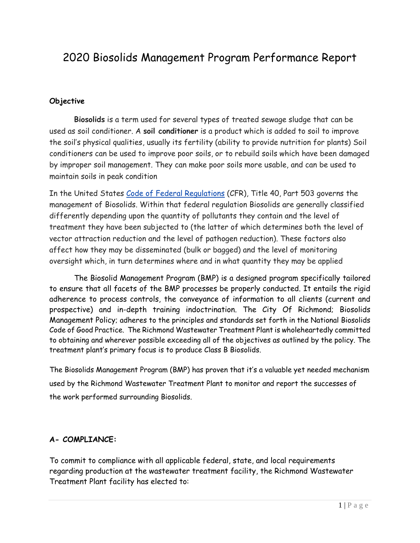# 2020 Biosolids Management Program Performance Report

### **Objective**

**Biosolids** is a term used for several types of treated sewage sludge that can be used as soil conditioner. A **soil conditioner** is a product which is added to soil to improve the soil's physical qualities, usually its fertility (ability to provide nutrition for plants) Soil conditioners can be used to improve poor soils, or to rebuild soils which have been damaged by improper soil management. They can make poor soils more usable, and can be used to maintain soils in peak condition

In the United States [Code of Federal Regulations](https://en.wikipedia.org/wiki/Code_of_Federal_Regulations) (CFR), Title 40, Part 503 governs the management of Biosolids. Within that federal regulation Biosolids are generally classified differently depending upon the quantity of pollutants they contain and the level of treatment they have been subjected to (the latter of which determines both the level of vector attraction reduction and the level of pathogen reduction). These factors also affect how they may be disseminated (bulk or bagged) and the level of monitoring oversight which, in turn determines where and in what quantity they may be applied

The Biosolid Management Program (BMP) is a designed program specifically tailored to ensure that all facets of the BMP processes be properly conducted. It entails the rigid adherence to process controls, the conveyance of information to all clients (current and prospective) and in-depth training indoctrination. The City Of Richmond; Biosolids Management Policy; adheres to the principles and standards set forth in the National Biosolids Code of Good Practice. The Richmond Wastewater Treatment Plant is wholeheartedly committed to obtaining and wherever possible exceeding all of the objectives as outlined by the policy. The treatment plant's primary focus is to produce Class B Biosolids.

The Biosolids Management Program (BMP) has proven that it's a valuable yet needed mechanism used by the Richmond Wastewater Treatment Plant to monitor and report the successes of the work performed surrounding Biosolids.

### **A- COMPLIANCE:**

To commit to compliance with all applicable federal, state, and local requirements regarding production at the wastewater treatment facility, the Richmond Wastewater Treatment Plant facility has elected to: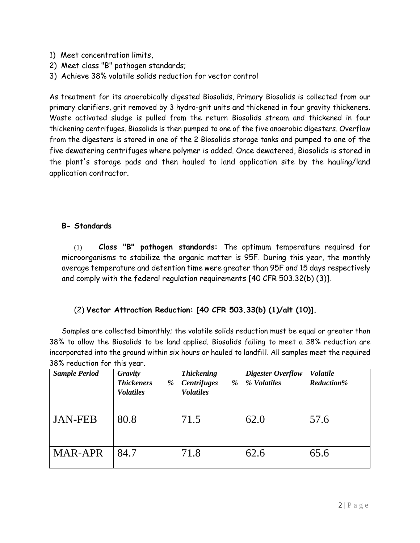- 1) Meet concentration limits,
- 2) Meet class "B" pathogen standards;
- 3) Achieve 38% volatile solids reduction for vector control

As treatment for its anaerobically digested Biosolids, Primary Biosolids is collected from our primary clarifiers, grit removed by 3 hydro-grit units and thickened in four gravity thickeners. Waste activated sludge is pulled from the return Biosolids stream and thickened in four thickening centrifuges. Biosolids is then pumped to one of the five anaerobic digesters. Overflow from the digesters is stored in one of the 2 Biosolids storage tanks and pumped to one of the five dewatering centrifuges where polymer is added. Once dewatered, Biosolids is stored in the plant's storage pads and then hauled to land application site by the hauling/land application contractor.

### **B- Standards**

(1) **Class "B" pathogen standards:** The optimum temperature required for microorganisms to stabilize the organic matter is 95F. During this year, the monthly average temperature and detention time were greater than 95F and 15 days respectively and comply with the federal regulation requirements [40 CFR 503.32(b) (3)].

### (2) **Vector Attraction Reduction: [40 CFR 503.33(b) (1)/alt (10)].**

Samples are collected bimonthly; the volatile solids reduction must be equal or greater than 38% to allow the Biosolids to be land applied. Biosolids failing to meet a 38% reduction are incorporated into the ground within six hours or hauled to landfill. All samples meet the required 38% reduction for this year.

| <b>Sample Period</b> | Gravity<br><b>Thickeners</b><br>%<br><b>Volatiles</b> | <b>Thickening</b><br><b>Centrifuges</b><br>%<br><b>Volatiles</b> | Digester Overflow<br>% Volatiles | <b>Volatile</b><br><b>Reduction%</b> |
|----------------------|-------------------------------------------------------|------------------------------------------------------------------|----------------------------------|--------------------------------------|
| <b>JAN-FEB</b>       | 80.8                                                  | 71.5                                                             | 62.0                             | 57.6                                 |
| <b>MAR-APR</b>       | 84.7                                                  | 71.8                                                             | 62.6                             | 65.6                                 |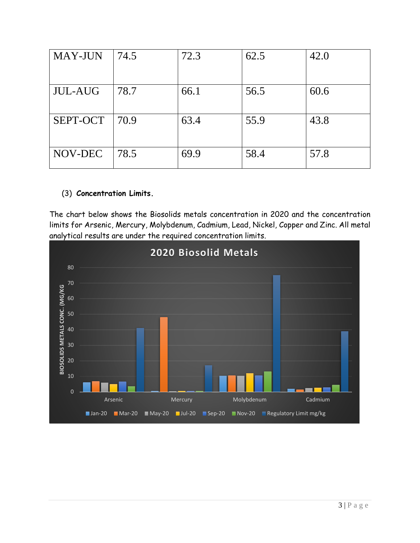| <b>MAY-JUN</b> | 74.5 | 72.3 | 62.5 | 42.0 |
|----------------|------|------|------|------|
| <b>JUL-AUG</b> | 78.7 | 66.1 | 56.5 | 60.6 |
| SEPT-OCT       | 70.9 | 63.4 | 55.9 | 43.8 |
| NOV-DEC        | 78.5 | 69.9 | 58.4 | 57.8 |

### (3) **Concentration Limits.**

The chart below shows the Biosolids metals concentration in 2020 and the concentration limits for Arsenic, Mercury, Molybdenum, Cadmium, Lead, Nickel, Copper and Zinc. All metal analytical results are under the required concentration limits.

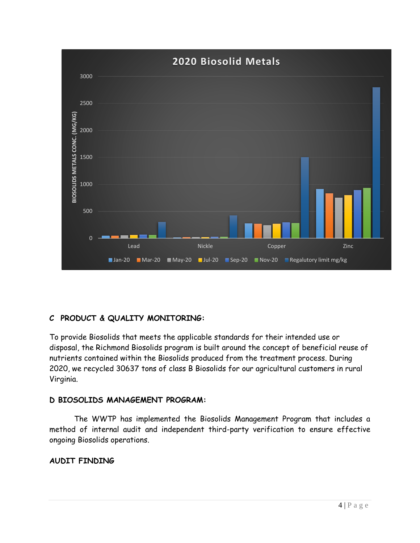

## **C PRODUCT & QUALITY MONITORING:**

To provide Biosolids that meets the applicable standards for their intended use or disposal, the Richmond Biosolids program is built around the concept of beneficial reuse of nutrients contained within the Biosolids produced from the treatment process. During 2020, we recycled 30637 tons of class B Biosolids for our agricultural customers in rural Virginia.

### **D BIOSOLIDS MANAGEMENT PROGRAM:**

The WWTP has implemented the Biosolids Management Program that includes a method of internal audit and independent third-party verification to ensure effective ongoing Biosolids operations.

### **AUDIT FINDING**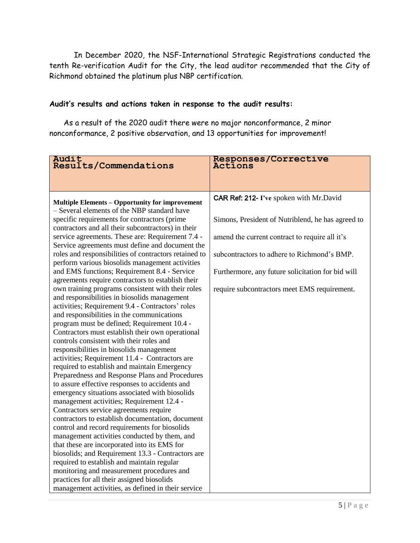In December 2020, the NSF-International Strategic Registrations conducted the tenth Re-verification Audit for the City, the lead auditor recommended that the City of Richmond obtained the platinum plus NBP certification.

### **Audit's results and actions taken in response to the audit results:**

As a result of the 2020 audit there were no major nonconformance, 2 minor nonconformance, 2 positive observation, and 13 opportunities for improvement!

| Audit<br>Results/Commendations                                                                    | Responses/Corrective<br>Actions                   |
|---------------------------------------------------------------------------------------------------|---------------------------------------------------|
|                                                                                                   |                                                   |
|                                                                                                   |                                                   |
| <b>Multiple Elements - Opportunity for improvement</b>                                            | CAR Ref: 212- I've spoken with Mr.David           |
| - Several elements of the NBP standard have                                                       |                                                   |
| specific requirements for contractors (prime                                                      | Simons, President of Nutriblend, he has agreed to |
| contractors and all their subcontractors) in their                                                |                                                   |
| service agreements. These are: Requirement 7.4 -                                                  | amend the current contract to require all it's    |
| Service agreements must define and document the                                                   |                                                   |
| roles and responsibilities of contractors retained to                                             | subcontractors to adhere to Richmond's BMP.       |
| perform various biosolids management activities                                                   |                                                   |
| and EMS functions; Requirement 8.4 - Service<br>agreements require contractors to establish their | Furthermore, any future solicitation for bid will |
| own training programs consistent with their roles                                                 | require subcontractors meet EMS requirement.      |
| and responsibilities in biosolids management                                                      |                                                   |
| activities; Requirement 9.4 - Contractors' roles                                                  |                                                   |
| and responsibilities in the communications                                                        |                                                   |
| program must be defined; Requirement 10.4 -                                                       |                                                   |
| Contractors must establish their own operational                                                  |                                                   |
| controls consistent with their roles and                                                          |                                                   |
| responsibilities in biosolids management                                                          |                                                   |
| activities; Requirement 11.4 - Contractors are                                                    |                                                   |
| required to establish and maintain Emergency                                                      |                                                   |
| Preparedness and Response Plans and Procedures                                                    |                                                   |
| to assure effective responses to accidents and                                                    |                                                   |
| emergency situations associated with biosolids                                                    |                                                   |
| management activities; Requirement 12.4 -                                                         |                                                   |
| Contractors service agreements require                                                            |                                                   |
| contractors to establish documentation, document                                                  |                                                   |
| control and record requirements for biosolids                                                     |                                                   |
| management activities conducted by them, and                                                      |                                                   |
| that these are incorporated into its EMS for<br>biosolids; and Requirement 13.3 - Contractors are |                                                   |
| required to establish and maintain regular                                                        |                                                   |
| monitoring and measurement procedures and                                                         |                                                   |
| practices for all their assigned biosolids                                                        |                                                   |
| management activities, as defined in their service                                                |                                                   |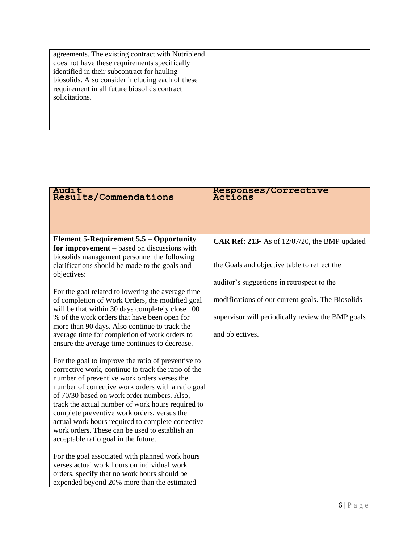| agreements. The existing contract with Nutriblend |  |
|---------------------------------------------------|--|
| does not have these requirements specifically     |  |
| identified in their subcontract for hauling       |  |
| biosolids. Also consider including each of these  |  |
| requirement in all future biosolids contract      |  |
| solicitations.                                    |  |
|                                                   |  |
|                                                   |  |
|                                                   |  |

| Audit<br>Results/Commendations                                                                                                                                                                                                                                                                                                                                                                                                                                                                                                                                                                                                                                                                                    | Responses/Corrective<br>Actions                                                                                                                                                                                                                                          |
|-------------------------------------------------------------------------------------------------------------------------------------------------------------------------------------------------------------------------------------------------------------------------------------------------------------------------------------------------------------------------------------------------------------------------------------------------------------------------------------------------------------------------------------------------------------------------------------------------------------------------------------------------------------------------------------------------------------------|--------------------------------------------------------------------------------------------------------------------------------------------------------------------------------------------------------------------------------------------------------------------------|
|                                                                                                                                                                                                                                                                                                                                                                                                                                                                                                                                                                                                                                                                                                                   |                                                                                                                                                                                                                                                                          |
| <b>Element 5-Requirement 5.5 – Opportunity</b><br>for improvement – based on discussions with<br>biosolids management personnel the following<br>clarifications should be made to the goals and<br>objectives:<br>For the goal related to lowering the average time<br>of completion of Work Orders, the modified goal<br>will be that within 30 days completely close 100<br>% of the work orders that have been open for<br>more than 90 days. Also continue to track the<br>average time for completion of work orders to<br>ensure the average time continues to decrease.                                                                                                                                    | CAR Ref: 213- As of 12/07/20, the BMP updated<br>the Goals and objective table to reflect the<br>auditor's suggestions in retrospect to the<br>modifications of our current goals. The Biosolids<br>supervisor will periodically review the BMP goals<br>and objectives. |
| For the goal to improve the ratio of preventive to<br>corrective work, continue to track the ratio of the<br>number of preventive work orders verses the<br>number of corrective work orders with a ratio goal<br>of 70/30 based on work order numbers. Also,<br>track the actual number of work hours required to<br>complete preventive work orders, versus the<br>actual work hours required to complete corrective<br>work orders. These can be used to establish an<br>acceptable ratio goal in the future.<br>For the goal associated with planned work hours<br>verses actual work hours on individual work<br>orders, specify that no work hours should be<br>expended beyond 20% more than the estimated |                                                                                                                                                                                                                                                                          |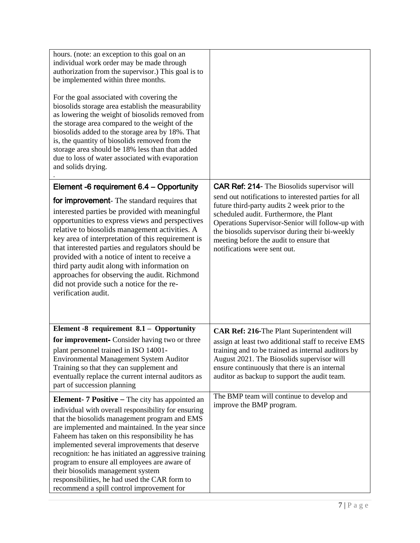| hours. (note: an exception to this goal on an<br>individual work order may be made through<br>authorization from the supervisor.) This goal is to<br>be implemented within three months.<br>For the goal associated with covering the<br>biosolids storage area establish the measurability<br>as lowering the weight of biosolids removed from<br>the storage area compared to the weight of the<br>biosolids added to the storage area by 18%. That<br>is, the quantity of biosolids removed from the<br>storage area should be 18% less than that added<br>due to loss of water associated with evaporation<br>and solids drying. |                                                                                                                                                                                                                                                                                                                                    |
|--------------------------------------------------------------------------------------------------------------------------------------------------------------------------------------------------------------------------------------------------------------------------------------------------------------------------------------------------------------------------------------------------------------------------------------------------------------------------------------------------------------------------------------------------------------------------------------------------------------------------------------|------------------------------------------------------------------------------------------------------------------------------------------------------------------------------------------------------------------------------------------------------------------------------------------------------------------------------------|
| Element -6 requirement 6.4 - Opportunity                                                                                                                                                                                                                                                                                                                                                                                                                                                                                                                                                                                             | <b>CAR Ref: 214-</b> The Biosolids supervisor will                                                                                                                                                                                                                                                                                 |
| for improvement- The standard requires that<br>interested parties be provided with meaningful<br>opportunities to express views and perspectives<br>relative to biosolids management activities. A<br>key area of interpretation of this requirement is<br>that interested parties and regulators should be<br>provided with a notice of intent to receive a<br>third party audit along with information on<br>approaches for observing the audit. Richmond<br>did not provide such a notice for the re-<br>verification audit.                                                                                                      | send out notifications to interested parties for all<br>future third-party audits 2 week prior to the<br>scheduled audit. Furthermore, the Plant<br>Operations Supervisor-Senior will follow-up with<br>the biosolids supervisor during their bi-weekly<br>meeting before the audit to ensure that<br>notifications were sent out. |
| Element -8 requirement 8.1 - Opportunity                                                                                                                                                                                                                                                                                                                                                                                                                                                                                                                                                                                             | CAR Ref: 216-The Plant Superintendent will                                                                                                                                                                                                                                                                                         |
| for improvement- Consider having two or three<br>plant personnel trained in ISO 14001-<br>Environmental Management System Auditor<br>Training so that they can supplement and<br>eventually replace the current internal auditors as<br>part of succession planning                                                                                                                                                                                                                                                                                                                                                                  | assign at least two additional staff to receive EMS<br>training and to be trained as internal auditors by<br>August 2021. The Biosolids supervisor will<br>ensure continuously that there is an internal<br>auditor as backup to support the audit team.                                                                           |
| <b>Element-</b> $7$ <b>Positive</b> $-$ The city has appointed an<br>individual with overall responsibility for ensuring<br>that the biosolids management program and EMS<br>are implemented and maintained. In the year since<br>Faheem has taken on this responsibility he has<br>implemented several improvements that deserve<br>recognition: he has initiated an aggressive training<br>program to ensure all employees are aware of<br>their biosolids management system<br>responsibilities, he had used the CAR form to<br>recommend a spill control improvement for                                                         | The BMP team will continue to develop and<br>improve the BMP program.                                                                                                                                                                                                                                                              |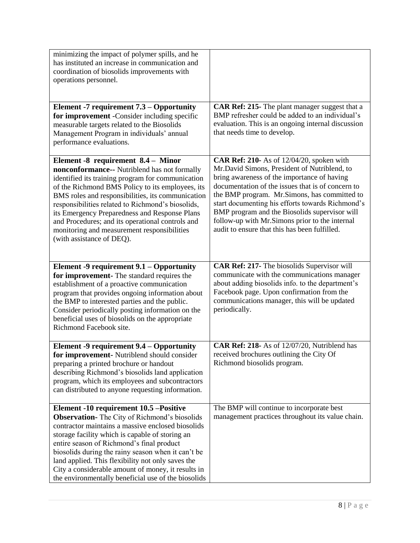| minimizing the impact of polymer spills, and he<br>has instituted an increase in communication and<br>coordination of biosolids improvements with<br>operations personnel.                                                                                                                                                                                                                                                                                                             |                                                                                                                                                                                                                                                                                                                                                                                                                                                              |
|----------------------------------------------------------------------------------------------------------------------------------------------------------------------------------------------------------------------------------------------------------------------------------------------------------------------------------------------------------------------------------------------------------------------------------------------------------------------------------------|--------------------------------------------------------------------------------------------------------------------------------------------------------------------------------------------------------------------------------------------------------------------------------------------------------------------------------------------------------------------------------------------------------------------------------------------------------------|
| Element -7 requirement 7.3 – Opportunity<br>for improvement -Consider including specific<br>measurable targets related to the Biosolids<br>Management Program in individuals' annual<br>performance evaluations.                                                                                                                                                                                                                                                                       | CAR Ref: 215- The plant manager suggest that a<br>BMP refresher could be added to an individual's<br>evaluation. This is an ongoing internal discussion<br>that needs time to develop.                                                                                                                                                                                                                                                                       |
| Element -8 requirement 8.4 - Minor<br>nonconformance-- Nutriblend has not formally<br>identified its training program for communication<br>of the Richmond BMS Policy to its employees, its<br>BMS roles and responsibilities, its communication<br>responsibilities related to Richmond's biosolids,<br>its Emergency Preparedness and Response Plans<br>and Procedures; and its operational controls and<br>monitoring and measurement responsibilities<br>(with assistance of DEQ). | <b>CAR Ref: 210-</b> As of 12/04/20, spoken with<br>Mr.David Simons, President of Nutriblend, to<br>bring awareness of the importance of having<br>documentation of the issues that is of concern to<br>the BMP program. Mr.Simons, has committed to<br>start documenting his efforts towards Richmond's<br>BMP program and the Biosolids supervisor will<br>follow-up with Mr.Simons prior to the internal<br>audit to ensure that this has been fulfilled. |
| Element -9 requirement 9.1 – Opportunity<br>for improvement- The standard requires the<br>establishment of a proactive communication<br>program that provides ongoing information about<br>the BMP to interested parties and the public.<br>Consider periodically posting information on the<br>beneficial uses of biosolids on the appropriate<br>Richmond Facebook site.                                                                                                             | CAR Ref: 217- The biosolids Supervisor will<br>communicate with the communications manager<br>about adding biosolids info. to the department's<br>Facebook page. Upon confirmation from the<br>communications manager, this will be updated<br>periodically.                                                                                                                                                                                                 |
| Element -9 requirement 9.4 – Opportunity<br>for improvement- Nutriblend should consider<br>preparing a printed brochure or handout<br>describing Richmond's biosolids land application<br>program, which its employees and subcontractors<br>can distributed to anyone requesting information.                                                                                                                                                                                         | CAR Ref: 218- As of 12/07/20, Nutriblend has<br>received brochures outlining the City Of<br>Richmond biosolids program.                                                                                                                                                                                                                                                                                                                                      |
| Element -10 requirement 10.5 -Positive<br><b>Observation-</b> The City of Richmond's biosolids<br>contractor maintains a massive enclosed biosolids<br>storage facility which is capable of storing an<br>entire season of Richmond's final product<br>biosolids during the rainy season when it can't be<br>land applied. This flexibility not only saves the<br>City a considerable amount of money, it results in<br>the environmentally beneficial use of the biosolids            | The BMP will continue to incorporate best<br>management practices throughout its value chain.                                                                                                                                                                                                                                                                                                                                                                |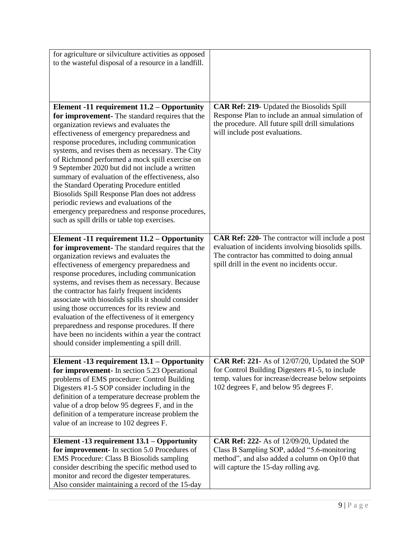| for agriculture or silviculture activities as opposed<br>to the wasteful disposal of a resource in a landfill.                                                                                                                                                                                                                                                                                                                                                                                                                                                                                                                                                                                  |                                                                                                                                                                                                                |
|-------------------------------------------------------------------------------------------------------------------------------------------------------------------------------------------------------------------------------------------------------------------------------------------------------------------------------------------------------------------------------------------------------------------------------------------------------------------------------------------------------------------------------------------------------------------------------------------------------------------------------------------------------------------------------------------------|----------------------------------------------------------------------------------------------------------------------------------------------------------------------------------------------------------------|
| Element -11 requirement 11.2 – Opportunity<br>for improvement- The standard requires that the<br>organization reviews and evaluates the<br>effectiveness of emergency preparedness and<br>response procedures, including communication<br>systems, and revises them as necessary. The City<br>of Richmond performed a mock spill exercise on<br>9 September 2020 but did not include a written<br>summary of evaluation of the effectiveness, also<br>the Standard Operating Procedure entitled<br>Biosolids Spill Response Plan does not address<br>periodic reviews and evaluations of the<br>emergency preparedness and response procedures,<br>such as spill drills or table top exercises. | CAR Ref: 219- Updated the Biosolids Spill<br>Response Plan to include an annual simulation of<br>the procedure. All future spill drill simulations<br>will include post evaluations.                           |
| Element -11 requirement 11.2 – Opportunity<br>for improvement- The standard requires that the<br>organization reviews and evaluates the<br>effectiveness of emergency preparedness and<br>response procedures, including communication<br>systems, and revises them as necessary. Because<br>the contractor has fairly frequent incidents<br>associate with biosolids spills it should consider<br>using those occurrences for its review and<br>evaluation of the effectiveness of it emergency<br>preparedness and response procedures. If there<br>have been no incidents within a year the contract<br>should consider implementing a spill drill.                                          | <b>CAR Ref: 220-</b> The contractor will include a post<br>evaluation of incidents involving biosolids spills.<br>The contractor has committed to doing annual<br>spill drill in the event no incidents occur. |
| Element -13 requirement 13.1 – Opportunity<br>for improvement- In section 5.23 Operational<br>problems of EMS procedure: Control Building<br>Digesters #1-5 SOP consider including in the<br>definition of a temperature decrease problem the<br>value of a drop below 95 degrees F, and in the<br>definition of a temperature increase problem the<br>value of an increase to 102 degrees F.                                                                                                                                                                                                                                                                                                   | CAR Ref: 221- As of 12/07/20, Updated the SOP<br>for Control Building Digesters #1-5, to include<br>temp. values for increase/decrease below setpoints<br>102 degrees F, and below 95 degrees F.               |
| Element -13 requirement 13.1 – Opportunity<br>for improvement- In section 5.0 Procedures of<br><b>EMS Procedure: Class B Biosolids sampling</b><br>consider describing the specific method used to<br>monitor and record the digester temperatures.<br>Also consider maintaining a record of the 15-day                                                                                                                                                                                                                                                                                                                                                                                         | <b>CAR Ref: 222-</b> As of 12/09/20, Updated the<br>Class B Sampling SOP, added "5.6-monitoring<br>method", and also added a column on Op10 that<br>will capture the 15-day rolling avg.                       |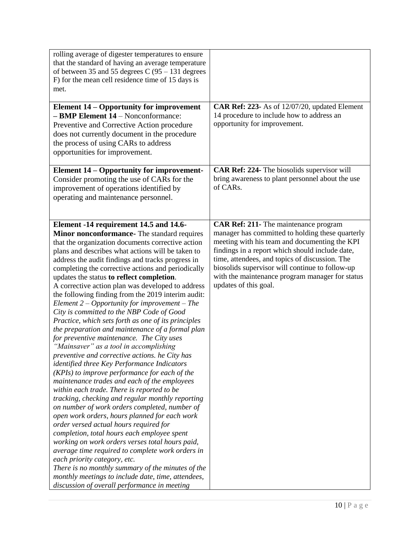| rolling average of digester temperatures to ensure<br>that the standard of having an average temperature<br>of between 35 and 55 degrees $C(95 - 131)$ degrees<br>F) for the mean cell residence time of 15 days is<br>met.                                                                                                                                                                                                                                                                                                                                                                                                                                                                                                                                                                                                                                                                                                                                                                                                                                                                                                                                                                                                                                                                                                                                                                                                                                                                                                                                           |                                                                                                                                                                                                                                                                                                                                                                                       |
|-----------------------------------------------------------------------------------------------------------------------------------------------------------------------------------------------------------------------------------------------------------------------------------------------------------------------------------------------------------------------------------------------------------------------------------------------------------------------------------------------------------------------------------------------------------------------------------------------------------------------------------------------------------------------------------------------------------------------------------------------------------------------------------------------------------------------------------------------------------------------------------------------------------------------------------------------------------------------------------------------------------------------------------------------------------------------------------------------------------------------------------------------------------------------------------------------------------------------------------------------------------------------------------------------------------------------------------------------------------------------------------------------------------------------------------------------------------------------------------------------------------------------------------------------------------------------|---------------------------------------------------------------------------------------------------------------------------------------------------------------------------------------------------------------------------------------------------------------------------------------------------------------------------------------------------------------------------------------|
| <b>Element 14 – Opportunity for improvement</b><br>- BMP Element 14 - Nonconformance:<br>Preventive and Corrective Action procedure<br>does not currently document in the procedure<br>the process of using CARs to address<br>opportunities for improvement.                                                                                                                                                                                                                                                                                                                                                                                                                                                                                                                                                                                                                                                                                                                                                                                                                                                                                                                                                                                                                                                                                                                                                                                                                                                                                                         | CAR Ref: 223- As of 12/07/20, updated Element<br>14 procedure to include how to address an<br>opportunity for improvement.                                                                                                                                                                                                                                                            |
| <b>Element 14 – Opportunity for improvement-</b><br>Consider promoting the use of CARs for the<br>improvement of operations identified by<br>operating and maintenance personnel.                                                                                                                                                                                                                                                                                                                                                                                                                                                                                                                                                                                                                                                                                                                                                                                                                                                                                                                                                                                                                                                                                                                                                                                                                                                                                                                                                                                     | CAR Ref: 224- The biosolids supervisor will<br>bring awareness to plant personnel about the use<br>of CARs.                                                                                                                                                                                                                                                                           |
| Element -14 requirement 14.5 and 14.6-<br>Minor nonconformance- The standard requires<br>that the organization documents corrective action<br>plans and describes what actions will be taken to<br>address the audit findings and tracks progress in<br>completing the corrective actions and periodically<br>updates the status to reflect completion.<br>A corrective action plan was developed to address<br>the following finding from the 2019 interim audit:<br>Element $2$ – Opportunity for improvement – The<br>City is committed to the NBP Code of Good<br>Practice, which sets forth as one of its principles<br>the preparation and maintenance of a formal plan<br>for preventive maintenance. The City uses<br>"Mainsaver" as a tool in accomplishing<br>preventive and corrective actions. he City has<br>identified three Key Performance Indicators<br>(KPIs) to improve performance for each of the<br>maintenance trades and each of the employees<br>within each trade. There is reported to be<br>tracking, checking and regular monthly reporting<br>on number of work orders completed, number of<br>open work orders, hours planned for each work<br>order versed actual hours required for<br>completion, total hours each employee spent<br>working on work orders verses total hours paid,<br>average time required to complete work orders in<br>each priority category, etc.<br>There is no monthly summary of the minutes of the<br>monthly meetings to include date, time, attendees,<br>discussion of overall performance in meeting | <b>CAR Ref: 211-</b> The maintenance program<br>manager has committed to holding these quarterly<br>meeting with his team and documenting the KPI<br>findings in a report which should include date,<br>time, attendees, and topics of discussion. The<br>biosolids supervisor will continue to follow-up<br>with the maintenance program manager for status<br>updates of this goal. |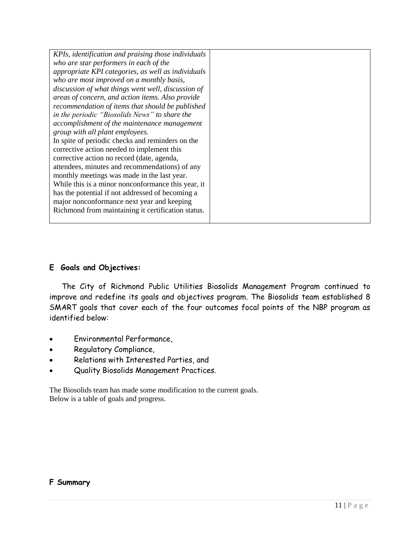| KPIs, identification and praising those individuals |  |
|-----------------------------------------------------|--|
| who are star performers in each of the              |  |
| appropriate KPI categories, as well as individuals  |  |
| who are most improved on a monthly basis,           |  |
| discussion of what things went well, discussion of  |  |
| areas of concern, and action items. Also provide    |  |
| recommendation of items that should be published    |  |
| in the periodic "Biosolids News" to share the       |  |
| accomplishment of the maintenance management        |  |
| group with all plant employees.                     |  |
| In spite of periodic checks and reminders on the    |  |
| corrective action needed to implement this          |  |
| corrective action no record (date, agenda,          |  |
| attendees, minutes and recommendations) of any      |  |
| monthly meetings was made in the last year.         |  |
| While this is a minor nonconformance this year, it  |  |
| has the potential if not addressed of becoming a    |  |
| major nonconformance next year and keeping          |  |
| Richmond from maintaining it certification status.  |  |
|                                                     |  |

### **E Goals and Objectives:**

The City of Richmond Public Utilities Biosolids Management Program continued to improve and redefine its goals and objectives program. The Biosolids team established 8 SMART goals that cover each of the four outcomes focal points of the NBP program as identified below:

- Environmental Performance,
- Regulatory Compliance,
- Relations with Interested Parties, and
- Quality Biosolids Management Practices.

The Biosolids team has made some modification to the current goals. Below is a table of goals and progress.

#### **F Summary**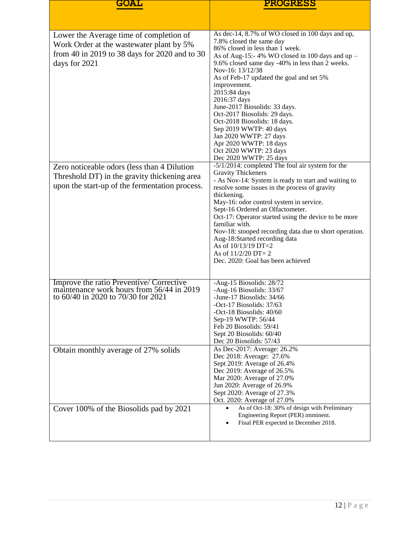| GOAL                                                                                                                                                  | <b>PROGRESS</b>                                                                                                                                                                                                                                                                                                                                                                                                                                                                                                                                                          |  |
|-------------------------------------------------------------------------------------------------------------------------------------------------------|--------------------------------------------------------------------------------------------------------------------------------------------------------------------------------------------------------------------------------------------------------------------------------------------------------------------------------------------------------------------------------------------------------------------------------------------------------------------------------------------------------------------------------------------------------------------------|--|
|                                                                                                                                                       |                                                                                                                                                                                                                                                                                                                                                                                                                                                                                                                                                                          |  |
| Lower the Average time of completion of<br>Work Order at the wastewater plant by 5%<br>from 40 in 2019 to 38 days for 2020 and to 30<br>days for 2021 | As dec-14, 8.7% of WO closed in 100 days and up,<br>7.8% closed the same day<br>86% closed in less than 1 week.<br>As of Aug-15:-4% WO closed in 100 days and up -<br>9.6% closed same day -40% in less than 2 weeks.<br>Nov-16: 13/12/38<br>As of Feb-17 updated the goal and set 5%<br>improvement.<br>2015:84 days<br>2016:37 days<br>June-2017 Biosolids: 33 days.<br>Oct-2017 Biosolids: 29 days.<br>Oct-2018 Biosolids: 18 days.<br>Sep 2019 WWTP: 40 days<br>Jan 2020 WWTP: 27 days<br>Apr 2020 WWTP: 18 days<br>Oct 2020 WWTP: 23 days<br>Dec 2020 WWTP: 25 days |  |
| Zero noticeable odors (less than 4 Dilution<br>Threshold DT) in the gravity thickening area<br>upon the start-up of the fermentation process.         | -5/1/2014: completed The foul air system for the<br><b>Gravity Thickeners</b><br>- As Nov-14: System is ready to start and waiting to<br>resolve some issues in the process of gravity<br>thickening.<br>May-16: odor control system in service.<br>Sept-16 Ordered an Olfactometer.<br>Oct-17: Operator started using the device to be more<br>familiar with.<br>Nov-18: stooped recording data due to short operation.<br>Aug-18:Started recording data<br>As of 10/13/19 DT=2<br>As of $11/2/20$ DT= 2<br>Dec. 2020: Goal has been achieved                           |  |
| Improve the ratio Preventive/Corrective<br>maintenance work hours from 56/44 in 2019<br>to 60/40 in 2020 to 70/30 for 2021                            | -Aug-15 Biosolids: 28/72<br>-Aug-16 Biosolids: 33/67<br>-June-17 Biosolids: 34/66<br>-Oct-17 Biosolids: 37/63<br>-Oct-18 Biosolids: $40/60$<br>Sep-19 WWTP: 56/44<br>Feb 20 Biosolids: 59/41<br>Sept 20 Biosolids: 60/40<br>Dec 20 Biosolids: 57/43                                                                                                                                                                                                                                                                                                                      |  |
| Obtain monthly average of 27% solids                                                                                                                  | As Dec-2017: Average: 26.2%<br>Dec 2018: Average: 27.6%<br>Sept 2019: Average of 26.4%<br>Dec 2019: Average of 26.5%<br>Mar 2020: Average of 27.0%<br>Jun 2020: Average of 26.9%<br>Sept 2020: Average of 27.3%<br>Oct. 2020: Average of 27.0%                                                                                                                                                                                                                                                                                                                           |  |
| Cover 100% of the Biosolids pad by 2021                                                                                                               | As of Oct-18: 30% of design with Preliminary<br>Engineering Report (PER) imminent.<br>Final PER expected in December 2018.                                                                                                                                                                                                                                                                                                                                                                                                                                               |  |